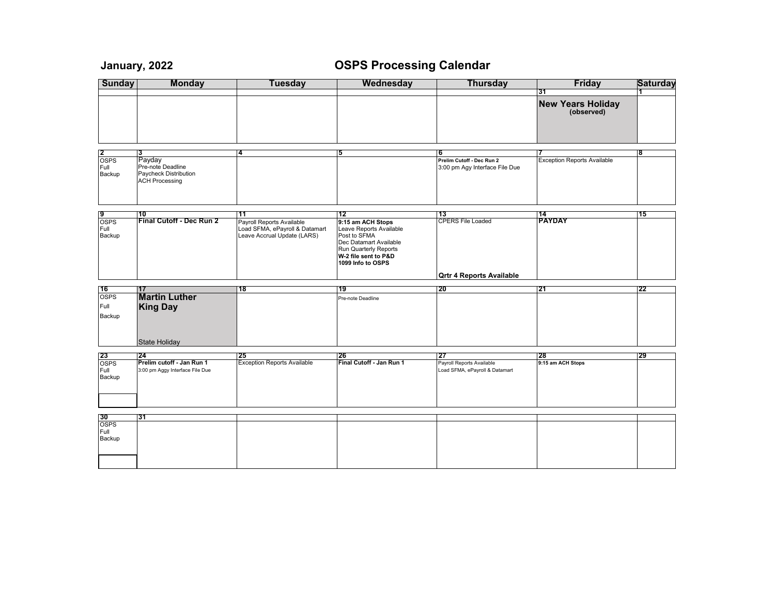## **January, 2022 OSPS Processing Calendar**

| <b>Sunday</b>                              | <b>Monday</b>                                                              | Tuesday                                                                                          | Wednesday                                                                                                                                                                 | <b>Thursday</b>                                                    | <b>Friday</b>                          | <b>Saturday</b> |
|--------------------------------------------|----------------------------------------------------------------------------|--------------------------------------------------------------------------------------------------|---------------------------------------------------------------------------------------------------------------------------------------------------------------------------|--------------------------------------------------------------------|----------------------------------------|-----------------|
|                                            |                                                                            |                                                                                                  |                                                                                                                                                                           |                                                                    | 31                                     |                 |
|                                            |                                                                            |                                                                                                  |                                                                                                                                                                           |                                                                    | <b>New Years Holiday</b><br>(observed) |                 |
|                                            |                                                                            |                                                                                                  |                                                                                                                                                                           |                                                                    |                                        |                 |
| $rac{2}{\text{OSPS}}$                      | 3<br>Payday                                                                | 4                                                                                                | 5                                                                                                                                                                         | 6<br>Prelim Cutoff - Dec Run 2                                     | <b>Exception Reports Available</b>     | 8               |
| Full<br>Backup                             | Pre-note Deadline<br><b>Paycheck Distribution</b><br><b>ACH Processing</b> |                                                                                                  |                                                                                                                                                                           | 3:00 pm Agy Interface File Due                                     |                                        |                 |
|                                            |                                                                            |                                                                                                  |                                                                                                                                                                           |                                                                    |                                        |                 |
| $rac{9}{OSPS}$<br>Full<br>Backup           | 10<br>Final Cutoff - Dec Run 2                                             | 11<br>Payroll Reports Available<br>Load SFMA, ePayroll & Datamart<br>Leave Accrual Update (LARS) | 12<br>9:15 am ACH Stops<br>Leave Reports Available<br>Post to SFMA<br>Dec Datamart Available<br><b>Run Quarterly Reports</b><br>W-2 file sent to P&D<br>1099 Info to OSPS | 113<br><b>CPERS File Loaded</b>                                    | 14<br><b>PAYDAY</b>                    | 15              |
|                                            |                                                                            |                                                                                                  |                                                                                                                                                                           | <b>Qrtr 4 Reports Available</b>                                    |                                        |                 |
| 16                                         | 17                                                                         | 18                                                                                               | 19                                                                                                                                                                        | 20                                                                 | 21                                     | 22              |
| <b>OSPS</b><br>Full<br>Backup              | <b>Martin Luther</b><br><b>King Day</b><br><b>State Holiday</b>            |                                                                                                  | Pre-note Deadline                                                                                                                                                         |                                                                    |                                        |                 |
|                                            |                                                                            |                                                                                                  |                                                                                                                                                                           |                                                                    |                                        |                 |
| $\frac{23}{\text{OSPS}}$<br>Full<br>Backup | 24<br>Prelim cutoff - Jan Run 1<br>3:00 pm Aggy Interface File Due         | 25<br><b>Exception Reports Available</b>                                                         | 26<br>Final Cutoff - Jan Run 1                                                                                                                                            | 127<br>Payroll Reports Available<br>Load SFMA, ePayroll & Datamart | 28<br>9:15 am ACH Stops                | 29              |
|                                            | 31                                                                         |                                                                                                  |                                                                                                                                                                           |                                                                    |                                        |                 |
| $rac{30}{\text{OSPS}}$                     |                                                                            |                                                                                                  |                                                                                                                                                                           |                                                                    |                                        |                 |
| Full<br>Backup                             |                                                                            |                                                                                                  |                                                                                                                                                                           |                                                                    |                                        |                 |
|                                            |                                                                            |                                                                                                  |                                                                                                                                                                           |                                                                    |                                        |                 |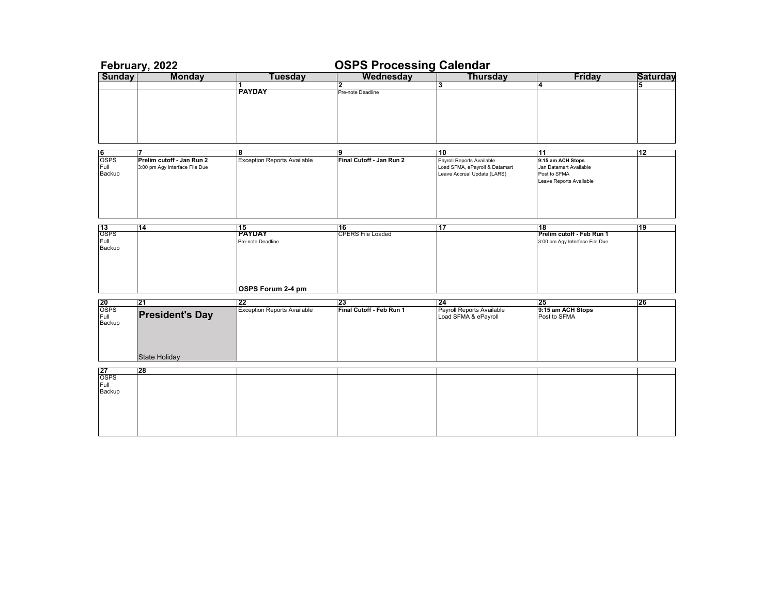| February, 2022           |                                 |                                          | <b>OSPS Processing Calendar</b> |                                 |                                                             |                 |  |
|--------------------------|---------------------------------|------------------------------------------|---------------------------------|---------------------------------|-------------------------------------------------------------|-----------------|--|
| <b>Sunday</b>            | <b>Monday</b>                   | <b>Tuesday</b>                           | Wednesday                       | <b>Thursday</b>                 | <b>Friday</b>                                               | <b>Saturday</b> |  |
|                          |                                 |                                          | 2                               | 3.                              | 4                                                           | 5               |  |
|                          |                                 | <b>PAYDAY</b>                            | Pre-note Deadline               |                                 |                                                             |                 |  |
|                          |                                 |                                          |                                 |                                 |                                                             |                 |  |
|                          |                                 |                                          |                                 |                                 |                                                             |                 |  |
|                          |                                 |                                          |                                 |                                 |                                                             |                 |  |
|                          |                                 |                                          |                                 |                                 |                                                             |                 |  |
|                          |                                 |                                          |                                 |                                 |                                                             |                 |  |
|                          |                                 |                                          |                                 |                                 |                                                             |                 |  |
| 6<br><b>OSPS</b>         | 17<br>Prelim cutoff - Jan Run 2 | 18<br><b>Exception Reports Available</b> | 9<br>Final Cutoff - Jan Run 2   | 10<br>Payroll Reports Available | 11<br>9:15 am ACH Stops                                     | 12              |  |
| Full                     | 3:00 pm Agy Interface File Due  |                                          |                                 | Load SFMA, ePayroll & Datamart  | Jan Datamart Available                                      |                 |  |
| Backup                   |                                 |                                          |                                 | Leave Accrual Update (LARS)     | Post to SFMA                                                |                 |  |
|                          |                                 |                                          |                                 |                                 | Leave Reports Available                                     |                 |  |
|                          |                                 |                                          |                                 |                                 |                                                             |                 |  |
|                          |                                 |                                          |                                 |                                 |                                                             |                 |  |
|                          |                                 |                                          |                                 |                                 |                                                             |                 |  |
|                          |                                 |                                          |                                 |                                 |                                                             |                 |  |
| $\frac{13}{\text{OSPS}}$ | 114                             | 115                                      | 16                              | 17                              | 18                                                          | 19              |  |
| Full                     |                                 | <b>PAYDAY</b><br>Pre-note Deadline       | <b>CPERS File Loaded</b>        |                                 | Prelim cutoff - Feb Run 1<br>3:00 pm Agy Interface File Due |                 |  |
| Backup                   |                                 |                                          |                                 |                                 |                                                             |                 |  |
|                          |                                 |                                          |                                 |                                 |                                                             |                 |  |
|                          |                                 |                                          |                                 |                                 |                                                             |                 |  |
|                          |                                 |                                          |                                 |                                 |                                                             |                 |  |
|                          |                                 |                                          |                                 |                                 |                                                             |                 |  |
|                          |                                 | OSPS Forum 2-4 pm                        |                                 |                                 |                                                             |                 |  |
|                          | 21                              | 22                                       | 23                              | 24                              | 25                                                          | 26              |  |
| $rac{20}{\text{OSPS}}$   |                                 | <b>Exception Reports Available</b>       | Final Cutoff - Feb Run 1        | Payroll Reports Available       | 9:15 am ACH Stops                                           |                 |  |
| Full                     | <b>President's Day</b>          |                                          |                                 | Load SFMA & ePayroll            | Post to SFMA                                                |                 |  |
| Backup                   |                                 |                                          |                                 |                                 |                                                             |                 |  |
|                          |                                 |                                          |                                 |                                 |                                                             |                 |  |
|                          |                                 |                                          |                                 |                                 |                                                             |                 |  |
|                          | <b>State Holiday</b>            |                                          |                                 |                                 |                                                             |                 |  |
|                          |                                 |                                          |                                 |                                 |                                                             |                 |  |
| 27                       | 28                              |                                          |                                 |                                 |                                                             |                 |  |
| <b>OSPS</b><br>Full      |                                 |                                          |                                 |                                 |                                                             |                 |  |
| Backup                   |                                 |                                          |                                 |                                 |                                                             |                 |  |
|                          |                                 |                                          |                                 |                                 |                                                             |                 |  |
|                          |                                 |                                          |                                 |                                 |                                                             |                 |  |
|                          |                                 |                                          |                                 |                                 |                                                             |                 |  |
|                          |                                 |                                          |                                 |                                 |                                                             |                 |  |
|                          |                                 |                                          |                                 |                                 |                                                             |                 |  |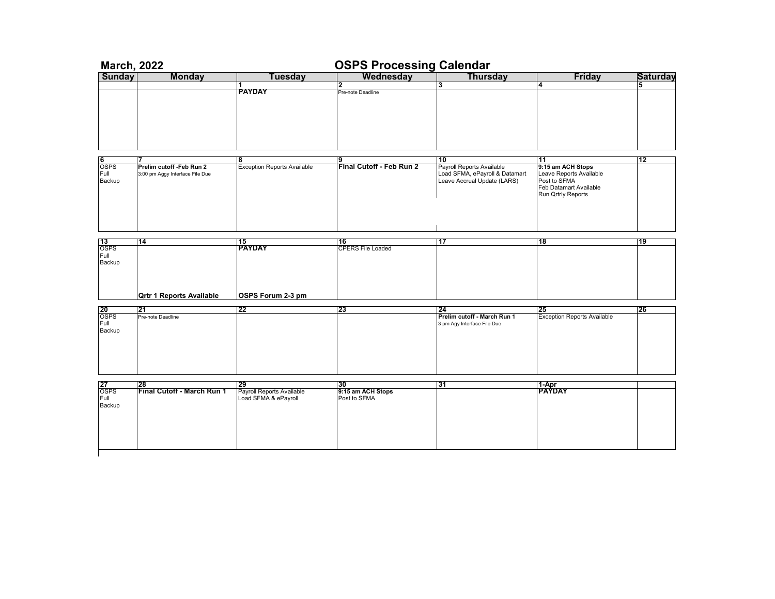| <b>March, 2022</b>       |                                   |                                    | <b>OSPS Processing Calendar</b>        |                                |                                    |                 |
|--------------------------|-----------------------------------|------------------------------------|----------------------------------------|--------------------------------|------------------------------------|-----------------|
| <b>Sunday</b>            | <b>Monday</b>                     | <b>Tuesday</b>                     | Wednesday                              | <b>Thursday</b>                | <b>Friday</b>                      | <b>Saturday</b> |
|                          |                                   |                                    | 2                                      | 3                              | 4                                  | 5               |
|                          |                                   | <b>PAYDAY</b>                      | Pre-note Deadline                      |                                |                                    |                 |
|                          |                                   |                                    |                                        |                                |                                    |                 |
|                          |                                   |                                    |                                        |                                |                                    |                 |
|                          |                                   |                                    |                                        |                                |                                    |                 |
|                          |                                   |                                    |                                        |                                |                                    |                 |
|                          |                                   |                                    |                                        |                                |                                    |                 |
|                          |                                   |                                    |                                        |                                |                                    |                 |
|                          |                                   |                                    |                                        |                                |                                    |                 |
|                          |                                   |                                    |                                        |                                |                                    |                 |
|                          |                                   |                                    |                                        |                                |                                    |                 |
| 6                        |                                   | 8                                  |                                        | 10                             | 11                                 | 12              |
| <b>OSPS</b>              | Prelim cutoff -Feb Run 2          | <b>Exception Reports Available</b> | <u> 9</u><br> Final Cutoff - Feb Run 2 | Payroll Reports Available      | 9:15 am ACH Stops                  |                 |
| Full                     |                                   |                                    |                                        | Load SFMA, ePayroll & Datamart | Leave Reports Available            |                 |
|                          | 3:00 pm Aggy Interface File Due   |                                    |                                        |                                | Post to SFMA                       |                 |
| Backup                   |                                   |                                    |                                        | Leave Accrual Update (LARS)    |                                    |                 |
|                          |                                   |                                    |                                        |                                | Feb Datamart Available             |                 |
|                          |                                   |                                    |                                        |                                | Run Qrtrly Reports                 |                 |
|                          |                                   |                                    |                                        |                                |                                    |                 |
|                          |                                   |                                    |                                        |                                |                                    |                 |
|                          |                                   |                                    |                                        |                                |                                    |                 |
|                          |                                   |                                    |                                        |                                |                                    |                 |
|                          |                                   |                                    |                                        |                                |                                    |                 |
|                          |                                   |                                    |                                        |                                |                                    |                 |
| $\frac{13}{\text{OSPS}}$ | 14                                | 15                                 | 16                                     | 17                             | 18                                 | 19              |
|                          |                                   | <b>PAYDAY</b>                      | <b>CPERS File Loaded</b>               |                                |                                    |                 |
| Full                     |                                   |                                    |                                        |                                |                                    |                 |
| Backup                   |                                   |                                    |                                        |                                |                                    |                 |
|                          |                                   |                                    |                                        |                                |                                    |                 |
|                          |                                   |                                    |                                        |                                |                                    |                 |
|                          |                                   |                                    |                                        |                                |                                    |                 |
|                          |                                   |                                    |                                        |                                |                                    |                 |
|                          | <b>Qrtr 1 Reports Available</b>   | OSPS Forum 2-3 pm                  |                                        |                                |                                    |                 |
|                          |                                   |                                    |                                        |                                |                                    |                 |
| $\frac{20}{\text{OSPS}}$ | 21                                | 22                                 | 123                                    | 24                             | 25                                 | 26              |
|                          | Pre-note Deadline                 |                                    |                                        | Prelim cutoff - March Run 1    | <b>Exception Reports Available</b> |                 |
| Full                     |                                   |                                    |                                        | 3 pm Agy Interface File Due    |                                    |                 |
| Backup                   |                                   |                                    |                                        |                                |                                    |                 |
|                          |                                   |                                    |                                        |                                |                                    |                 |
|                          |                                   |                                    |                                        |                                |                                    |                 |
|                          |                                   |                                    |                                        |                                |                                    |                 |
|                          |                                   |                                    |                                        |                                |                                    |                 |
|                          |                                   |                                    |                                        |                                |                                    |                 |
|                          |                                   |                                    |                                        |                                |                                    |                 |
|                          |                                   |                                    |                                        |                                |                                    |                 |
|                          |                                   |                                    | 130                                    | 131                            |                                    |                 |
| 27<br><b>OSPS</b>        | 128<br>Final Cutoff - March Run 1 | 29                                 | 9:15 am ACH Stops                      |                                | 1-Apr<br><b>PAYDAY</b>             |                 |
|                          |                                   | Payroll Reports Available          |                                        |                                |                                    |                 |
| Full                     |                                   | Load SFMA & ePayroll               | Post to SFMA                           |                                |                                    |                 |
| Backup                   |                                   |                                    |                                        |                                |                                    |                 |
|                          |                                   |                                    |                                        |                                |                                    |                 |
|                          |                                   |                                    |                                        |                                |                                    |                 |
|                          |                                   |                                    |                                        |                                |                                    |                 |
|                          |                                   |                                    |                                        |                                |                                    |                 |
|                          |                                   |                                    |                                        |                                |                                    |                 |
|                          |                                   |                                    |                                        |                                |                                    |                 |
|                          |                                   |                                    |                                        |                                |                                    |                 |
|                          |                                   |                                    |                                        |                                |                                    |                 |
|                          |                                   |                                    |                                        |                                |                                    |                 |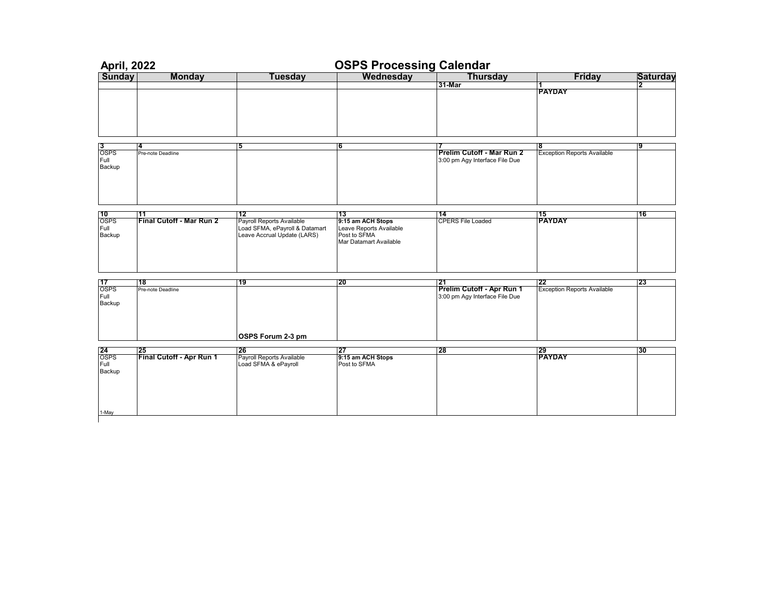| <b>April, 2022</b>     |                                 |                                | <b>OSPS Processing Calendar</b> |                                  |                                          |                 |
|------------------------|---------------------------------|--------------------------------|---------------------------------|----------------------------------|------------------------------------------|-----------------|
| <b>Sunday</b>          | <b>Monday</b>                   | <b>Tuesday</b>                 | Wednesday                       | <b>Thursday</b>                  | <b>Friday</b>                            | <b>Saturday</b> |
|                        |                                 |                                |                                 | 31-Mar                           |                                          | 2               |
|                        |                                 |                                |                                 |                                  | <b>PAYDAY</b>                            |                 |
|                        |                                 |                                |                                 |                                  |                                          |                 |
|                        |                                 |                                |                                 |                                  |                                          |                 |
|                        |                                 |                                |                                 |                                  |                                          |                 |
|                        |                                 |                                |                                 |                                  |                                          |                 |
|                        |                                 |                                |                                 |                                  |                                          |                 |
| 13                     | 4                               | 5                              | 6                               |                                  | 8                                        | 9               |
| <b>OSPS</b>            | Pre-note Deadline               |                                |                                 | Prelim Cutoff - Mar Run 2        | <b>Exception Reports Available</b>       |                 |
| Full<br>Backup         |                                 |                                |                                 | 3:00 pm Agy Interface File Due   |                                          |                 |
|                        |                                 |                                |                                 |                                  |                                          |                 |
|                        |                                 |                                |                                 |                                  |                                          |                 |
|                        |                                 |                                |                                 |                                  |                                          |                 |
|                        |                                 |                                |                                 |                                  |                                          |                 |
|                        |                                 |                                |                                 |                                  |                                          |                 |
| 10                     | 11                              | 12                             | 13                              | 14                               | 15                                       | 16              |
| <b>OSPS</b>            | <b>Final Cutoff - Mar Run 2</b> | Payroll Reports Available      | 9:15 am ACH Stops               | <b>CPERS File Loaded</b>         | <b>PAYDAY</b>                            |                 |
| Full                   |                                 | Load SFMA, ePayroll & Datamart | Leave Reports Available         |                                  |                                          |                 |
| Backup                 |                                 | Leave Accrual Update (LARS)    | Post to SFMA                    |                                  |                                          |                 |
|                        |                                 |                                | Mar Datamart Available          |                                  |                                          |                 |
|                        |                                 |                                |                                 |                                  |                                          |                 |
|                        |                                 |                                |                                 |                                  |                                          |                 |
|                        |                                 |                                |                                 |                                  |                                          |                 |
|                        |                                 |                                |                                 |                                  |                                          |                 |
| 17<br><b>OSPS</b>      | 18<br>Pre-note Deadline         | 19                             | 20                              | 121<br>Prelim Cutoff - Apr Run 1 | 22<br><b>Exception Reports Available</b> | 23              |
| Full                   |                                 |                                |                                 | 3:00 pm Agy Interface File Due   |                                          |                 |
| Backup                 |                                 |                                |                                 |                                  |                                          |                 |
|                        |                                 |                                |                                 |                                  |                                          |                 |
|                        |                                 |                                |                                 |                                  |                                          |                 |
|                        |                                 |                                |                                 |                                  |                                          |                 |
|                        |                                 | OSPS Forum 2-3 pm              |                                 |                                  |                                          |                 |
|                        |                                 |                                |                                 |                                  |                                          |                 |
| $rac{24}{\text{OSPS}}$ | 125                             | 26                             | 27                              | 28                               | 29<br>PAYDAY                             | 30              |
|                        | Final Cutoff - Apr Run 1        | Payroll Reports Available      | 9:15 am ACH Stops               |                                  |                                          |                 |
| Full                   |                                 | Load SFMA & ePayroll           | Post to SFMA                    |                                  |                                          |                 |
| Backup                 |                                 |                                |                                 |                                  |                                          |                 |
|                        |                                 |                                |                                 |                                  |                                          |                 |
|                        |                                 |                                |                                 |                                  |                                          |                 |
|                        |                                 |                                |                                 |                                  |                                          |                 |
|                        |                                 |                                |                                 |                                  |                                          |                 |
| 1-May                  |                                 |                                |                                 |                                  |                                          |                 |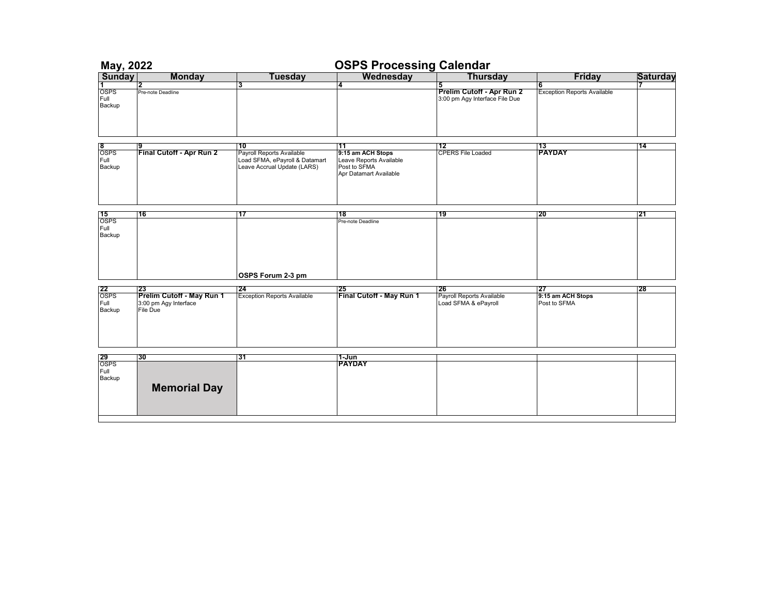|                                              | <b>OSPS Processing Calendar</b><br>May, 2022                   |                                                                                                  |                                                                                              |                                                                  |                                         |                 |
|----------------------------------------------|----------------------------------------------------------------|--------------------------------------------------------------------------------------------------|----------------------------------------------------------------------------------------------|------------------------------------------------------------------|-----------------------------------------|-----------------|
|                                              | <b>Monday</b>                                                  | <b>Tuesday</b>                                                                                   | Wednesday                                                                                    | <b>Thursday</b>                                                  | <b>Friday</b>                           | <b>Saturday</b> |
| <b>Sunday</b><br>1<br>OSPS<br>Full<br>Backup | 2<br>Pre-note Deadline                                         | з                                                                                                | 4                                                                                            | 5<br>Prelim Cutoff - Apr Run 2<br>3:00 pm Agy Interface File Due | 6<br><b>Exception Reports Available</b> |                 |
|                                              |                                                                |                                                                                                  |                                                                                              |                                                                  |                                         |                 |
| 8<br>OSPS<br>Full<br>Backup                  | Final Cutoff - Apr Run 2                                       | 10<br>Payroll Reports Available<br>Load SFMA, ePayroll & Datamart<br>Leave Accrual Update (LARS) | 11<br>9:15 am ACH Stops<br>Leave Reports Available<br>Post to SFMA<br>Apr Datamart Available | 12<br><b>CPERS File Loaded</b>                                   | 13<br><b>PAYDAY</b>                     | 14              |
|                                              | 16                                                             | 17                                                                                               | 18                                                                                           | 19                                                               | 20                                      | 121             |
| <b>15</b><br>OSPS<br>Full<br>Backup          |                                                                | OSPS Forum 2-3 pm                                                                                | Pre-note Deadline                                                                            |                                                                  |                                         |                 |
|                                              | 23                                                             | 24                                                                                               | 25                                                                                           | 26                                                               | 27                                      | 28              |
| 22<br>OSPS<br>Full<br>Backup                 | Prelim Cutoff - May Run 1<br>3:00 pm Agy Interface<br>File Due | Exception Reports Available                                                                      | Final Cutoff - May Run 1                                                                     | Payroll Reports Available<br>Load SFMA & ePayroll                | 9:15 am ACH Stops<br>Post to SFMA       |                 |
|                                              | 30                                                             | 31                                                                                               | 1-Jun                                                                                        |                                                                  |                                         |                 |
| 29<br>OSPS<br>Full<br>Backup                 | <b>Memorial Day</b>                                            |                                                                                                  | <b>PAYDAY</b>                                                                                |                                                                  |                                         |                 |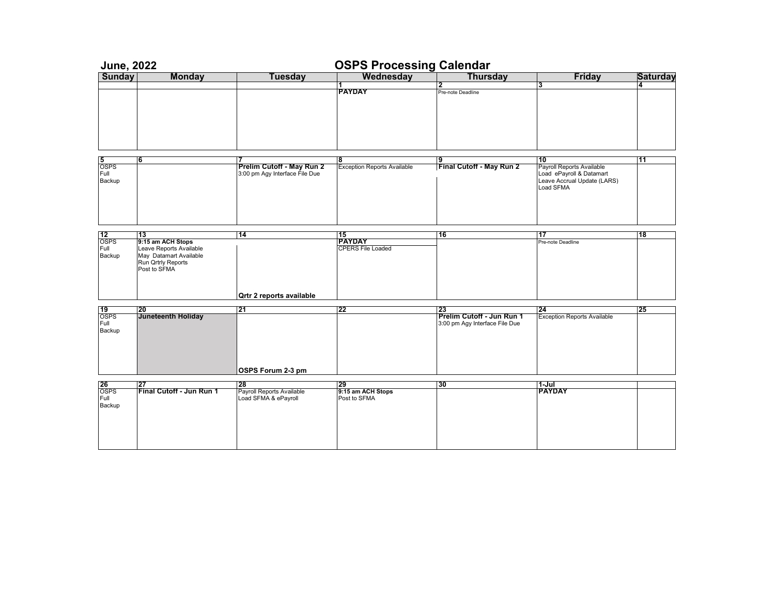| <b>June, 2022</b>                          |                                                              |                                                                   | <b>OSPS Processing Calendar</b>                 |                                                             |                                                                                                         |                 |
|--------------------------------------------|--------------------------------------------------------------|-------------------------------------------------------------------|-------------------------------------------------|-------------------------------------------------------------|---------------------------------------------------------------------------------------------------------|-----------------|
| <b>Sunday</b>                              | <b>Monday</b>                                                | <b>Tuesday</b>                                                    | Wednesday                                       | <b>Thursday</b>                                             | <b>Friday</b>                                                                                           | <b>Saturday</b> |
|                                            |                                                              |                                                                   | 1<br><b>PAYDAY</b>                              | Pre-note Deadline                                           | 3                                                                                                       | 4               |
| 15<br><b>OSPS</b><br>Full<br>Backup        | 6                                                            | 17<br>Prelim Cutoff - May Run 2<br>3:00 pm Agy Interface File Due | 8<br><b>Exception Reports Available</b>         | 19<br>Final Cutoff - May Run 2                              | 10<br>Payroll Reports Available<br>Load ePayroll & Datamart<br>Leave Accrual Update (LARS)<br>Load SFMA | 11              |
| $rac{12}{\text{OSPS}}$<br>Full             | 13<br>9:15 am ACH Stops<br>Leave Reports Available           | 14                                                                | 15<br><b>PAYDAY</b><br><b>CPERS File Loaded</b> | 16                                                          | 17<br>Pre-note Deadline                                                                                 | 18              |
| Backup                                     | May Datamart Available<br>Run Qrtrly Reports<br>Post to SFMA | <b>Qrtr 2 reports available</b>                                   |                                                 |                                                             |                                                                                                         |                 |
|                                            | 20                                                           | 21                                                                | 22                                              | 23                                                          | 24                                                                                                      | 25              |
| $\frac{19}{\text{OSPS}}$<br>Full<br>Backup | <b>Juneteenth Holiday</b>                                    |                                                                   |                                                 | Prelim Cutoff - Jun Run 1<br>3:00 pm Agy Interface File Due | <b>Exception Reports Available</b>                                                                      |                 |
|                                            |                                                              | OSPS Forum 2-3 pm                                                 |                                                 |                                                             |                                                                                                         |                 |
|                                            | 27                                                           | 128                                                               | 29                                              | 130                                                         | 1-Jul                                                                                                   |                 |
| $rac{26}{\text{OSPS}}$<br>Full<br>Backup   | Final Cutoff - Jun Run 1                                     | Payroll Reports Available<br>Load SFMA & ePayroll                 | 9:15 am ACH Stops<br>Post to SFMA               |                                                             | <b>PAYDAY</b>                                                                                           |                 |
|                                            |                                                              |                                                                   |                                                 |                                                             |                                                                                                         |                 |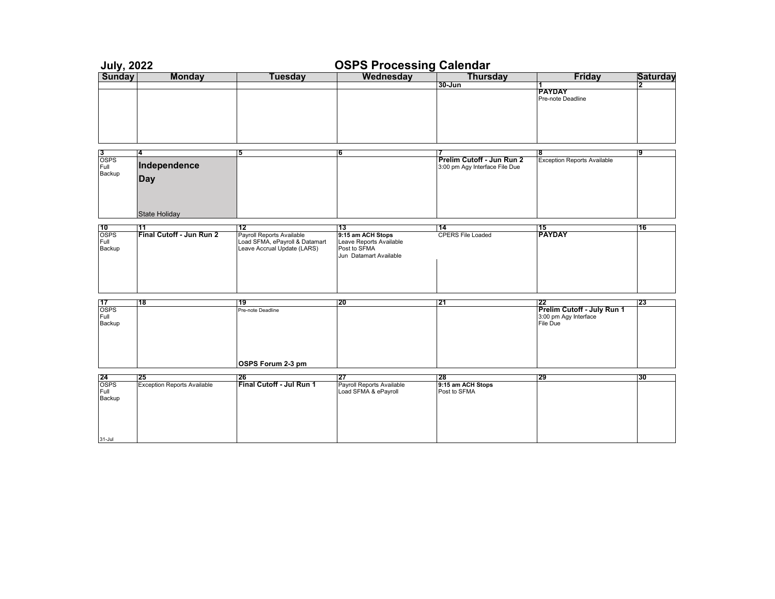| <b>July, 2022</b>        |                                    |                                | <b>OSPS Processing Calendar</b>        |                                |                                    |                 |
|--------------------------|------------------------------------|--------------------------------|----------------------------------------|--------------------------------|------------------------------------|-----------------|
| <b>Sunday</b>            | <b>Monday</b>                      | <b>Tuesday</b>                 | Wednesday                              | <b>Thursday</b>                | <b>Friday</b>                      | <b>Saturday</b> |
|                          |                                    |                                |                                        | $30 - Jun$                     | 1                                  | 2               |
|                          |                                    |                                |                                        |                                | <b>PAYDAY</b>                      |                 |
|                          |                                    |                                |                                        |                                | Pre-note Deadline                  |                 |
|                          |                                    |                                |                                        |                                |                                    |                 |
|                          |                                    |                                |                                        |                                |                                    |                 |
|                          |                                    |                                |                                        |                                |                                    |                 |
|                          |                                    |                                |                                        |                                |                                    |                 |
|                          |                                    |                                |                                        |                                |                                    |                 |
| $\frac{3}{\text{OSPS}}$  | 4                                  | 5                              | 16                                     |                                | 8                                  | 9               |
|                          |                                    |                                |                                        | Prelim Cutoff - Jun Run 2      | <b>Exception Reports Available</b> |                 |
| Full                     | Independence                       |                                |                                        | 3:00 pm Agy Interface File Due |                                    |                 |
| Backup                   | <b>Day</b>                         |                                |                                        |                                |                                    |                 |
|                          |                                    |                                |                                        |                                |                                    |                 |
|                          |                                    |                                |                                        |                                |                                    |                 |
|                          |                                    |                                |                                        |                                |                                    |                 |
|                          |                                    |                                |                                        |                                |                                    |                 |
|                          | <b>State Holiday</b>               |                                |                                        |                                |                                    |                 |
| $\frac{10}{\text{OSPS}}$ | 11                                 | 12                             | 13                                     | 14                             | 15<br>PAYDAY                       | 16              |
|                          | Final Cutoff - Jun Run 2           | Payroll Reports Available      | 9:15 am ACH Stops                      | <b>CPERS File Loaded</b>       |                                    |                 |
| Full                     |                                    | Load SFMA, ePayroll & Datamart | Leave Reports Available                |                                |                                    |                 |
| Backup                   |                                    | Leave Accrual Update (LARS)    | Post to SFMA<br>Jun Datamart Available |                                |                                    |                 |
|                          |                                    |                                |                                        |                                |                                    |                 |
|                          |                                    |                                |                                        |                                |                                    |                 |
|                          |                                    |                                |                                        |                                |                                    |                 |
|                          |                                    |                                |                                        |                                |                                    |                 |
|                          |                                    |                                |                                        |                                |                                    |                 |
| 17                       | 18                                 | 19                             | 20                                     | 21                             | 22                                 | 23              |
| <b>OSPS</b>              |                                    | Pre-note Deadline              |                                        |                                | Prelim Cutoff - July Run 1         |                 |
| Full                     |                                    |                                |                                        |                                | 3:00 pm Agy Interface              |                 |
| Backup                   |                                    |                                |                                        |                                | File Due                           |                 |
|                          |                                    |                                |                                        |                                |                                    |                 |
|                          |                                    |                                |                                        |                                |                                    |                 |
|                          |                                    |                                |                                        |                                |                                    |                 |
|                          |                                    |                                |                                        |                                |                                    |                 |
|                          |                                    | OSPS Forum 2-3 pm              |                                        |                                |                                    |                 |
|                          | 25                                 | 26                             | 27                                     | 28                             | 29                                 | 30              |
| $rac{24}{\text{OSPS}}$   | <b>Exception Reports Available</b> | Final Cutoff - Jul Run 1       | Payroll Reports Available              | 9:15 am ACH Stops              |                                    |                 |
| Full                     |                                    |                                | Load SFMA & ePayroll                   | Post to SFMA                   |                                    |                 |
| Backup                   |                                    |                                |                                        |                                |                                    |                 |
|                          |                                    |                                |                                        |                                |                                    |                 |
|                          |                                    |                                |                                        |                                |                                    |                 |
|                          |                                    |                                |                                        |                                |                                    |                 |
|                          |                                    |                                |                                        |                                |                                    |                 |
| $31 -$ Jul               |                                    |                                |                                        |                                |                                    |                 |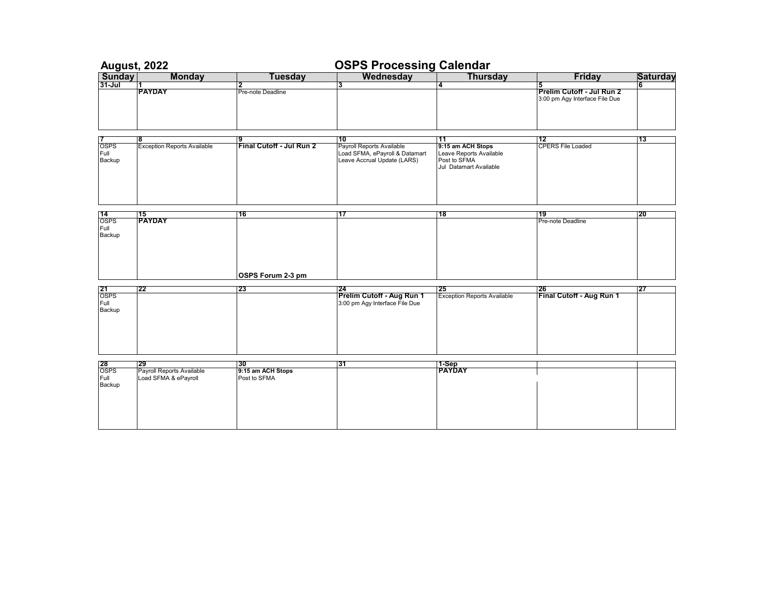| <b>August, 2022</b>                        |                                                   |                                   |                                                                                            |                                                                                        |                                                             |                 |
|--------------------------------------------|---------------------------------------------------|-----------------------------------|--------------------------------------------------------------------------------------------|----------------------------------------------------------------------------------------|-------------------------------------------------------------|-----------------|
| Sunday<br>31-Jul                           | <b>Monday</b>                                     | <b>Tuesday</b>                    | <b>OSPS Processing Calendar</b><br>  Wednesday   Thurs                                     | <b>Thursday</b>                                                                        | <b>Friday</b>                                               | <b>Saturday</b> |
|                                            | 11                                                |                                   | з                                                                                          | 14                                                                                     | 5                                                           | 6               |
|                                            | <b>PAYDAY</b>                                     | Pre-note Deadline                 |                                                                                            |                                                                                        | Prelim Cutoff - Jul Run 2<br>3:00 pm Agy Interface File Due |                 |
|                                            | 8                                                 | 9                                 | 10                                                                                         | 11                                                                                     | 12                                                          | 13              |
| <b>OSPS</b><br>Full<br>Backup              | <b>Exception Reports Available</b>                | Final Cutoff - Jul Run 2          | Payroll Reports Available<br>Load SFMA, ePayroll & Datamart<br>Leave Accrual Update (LARS) | 9:15 am ACH Stops<br>Leave Reports Available<br>Post to SFMA<br>Jul Datamart Available | <b>CPERS File Loaded</b>                                    |                 |
|                                            |                                                   |                                   |                                                                                            |                                                                                        |                                                             |                 |
| $\frac{14}{\text{OSPS}}$                   | 15<br>PAYDAY                                      | 16                                | 17                                                                                         | 118                                                                                    | 19<br>Pre-note Deadline                                     | 20              |
| Full<br>Backup                             |                                                   |                                   |                                                                                            |                                                                                        |                                                             |                 |
|                                            |                                                   | OSPS Forum 2-3 pm                 |                                                                                            |                                                                                        |                                                             |                 |
|                                            | 122                                               | 23                                | 124                                                                                        | 125                                                                                    | 126                                                         | 27              |
| $\frac{21}{\text{OSPS}}$<br>Full<br>Backup |                                                   |                                   | Prelim Cutoff - Aug Run 1<br>3:00 pm Agy Interface File Due                                | <b>Exception Reports Available</b>                                                     | Final Cutoff - Aug Run 1                                    |                 |
|                                            |                                                   |                                   |                                                                                            |                                                                                        |                                                             |                 |
| $rac{28}{\text{OSPS}}$                     | 129                                               | l30                               | 31                                                                                         | 1-Sep<br>PAYDAY                                                                        |                                                             |                 |
| Full<br>Backup                             | Payroll Reports Available<br>Load SFMA & ePayroll | 9:15 am ACH Stops<br>Post to SFMA |                                                                                            |                                                                                        |                                                             |                 |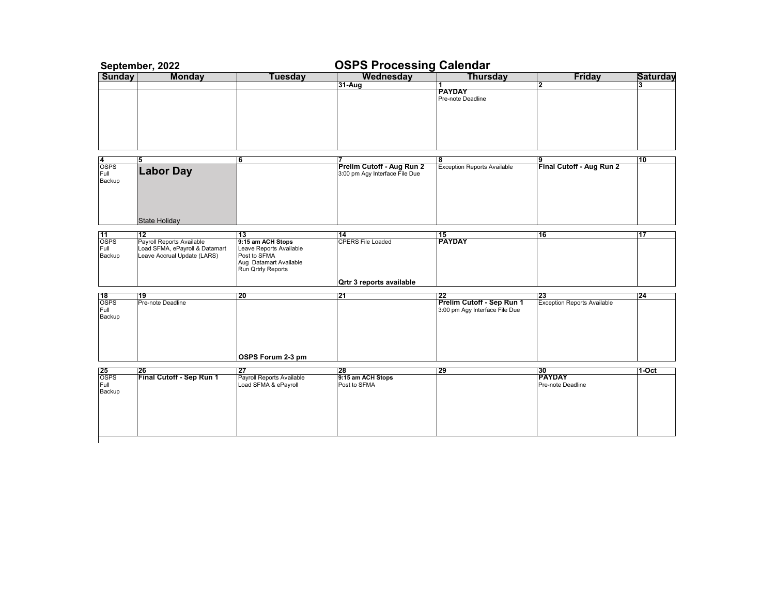|                                            | September, 2022                                                                            |                                                                                                              | <b>OSPS Processing Calendar</b>                             |                                                             |                                    |                 |
|--------------------------------------------|--------------------------------------------------------------------------------------------|--------------------------------------------------------------------------------------------------------------|-------------------------------------------------------------|-------------------------------------------------------------|------------------------------------|-----------------|
| Sunday                                     | <b>Monday</b>                                                                              | <b>Tuesday</b>                                                                                               | Wednesday                                                   | <b>Thursday</b>                                             | <b>Friday</b>                      | <b>Saturday</b> |
|                                            |                                                                                            |                                                                                                              | 31-Aug                                                      | <b>PAYDAY</b><br>Pre-note Deadline                          | $\mathbf{2}$                       | 33              |
| <b>OSPS</b><br>Full                        | <b>Labor Day</b>                                                                           | 6                                                                                                            | Prelim Cutoff - Aug Run 2<br>3:00 pm Agy Interface File Due | 8<br><b>Exception Reports Available</b>                     | 9<br>Final Cutoff - Aug Run 2      | 110             |
| Backup                                     | <b>State Holiday</b>                                                                       |                                                                                                              |                                                             |                                                             |                                    |                 |
| 11                                         | 12                                                                                         | 13                                                                                                           | 14                                                          | 15                                                          | 16                                 | 17              |
| <b>OSPS</b><br>Full<br>Backup              | Payroll Reports Available<br>Load SFMA, ePayroll & Datamart<br>Leave Accrual Update (LARS) | 9:15 am ACH Stops<br>Leave Reports Available<br>Post to SFMA<br>Aug Datamart Available<br>Run Qrtrly Reports | <b>CPERS File Loaded</b>                                    | <b>PAYDAY</b>                                               |                                    |                 |
|                                            |                                                                                            |                                                                                                              | Qrtr 3 reports available                                    |                                                             |                                    |                 |
|                                            | 19                                                                                         | 20                                                                                                           | 21                                                          | 22                                                          | 23                                 | 124             |
| $\frac{18}{\text{OSPS}}$<br>Full<br>Backup | Pre-note Deadline                                                                          |                                                                                                              |                                                             | Prelim Cutoff - Sep Run 1<br>3:00 pm Agy Interface File Due | <b>Exception Reports Available</b> |                 |
|                                            |                                                                                            | OSPS Forum 2-3 pm                                                                                            |                                                             |                                                             |                                    |                 |
|                                            | 26                                                                                         | 27                                                                                                           | 28                                                          | 29                                                          | 30                                 | 1-Oct           |
| $\frac{25}{\text{OSPS}}$<br>Full<br>Backup | Final Cutoff - Sep Run 1                                                                   | Payroll Reports Available<br>Load SFMA & ePayroll                                                            | 9:15 am ACH Stops<br>Post to SFMA                           |                                                             | <b>PAYDAY</b><br>Pre-note Deadline |                 |
|                                            |                                                                                            |                                                                                                              |                                                             |                                                             |                                    |                 |